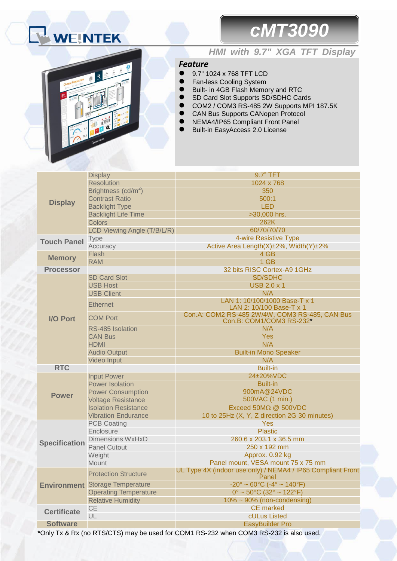# WEINTEK

# *cMT3090*



## *HMI with 9.7" XGA TFT Display*

### *Feature*

- 9.7" 1024 x 768 TFT LCD
- **•** Fan-less Cooling System
- Built- in 4GB Flash Memory and RTC
- SD Card Slot Supports SD/SDHC Cards
- COM2 / COM3 RS-485 2W Supports MPI 187.5K
- CAN Bus Supports CANopen Protocol
- NEMA4/IP65 Compliant Front Panel
- Built-in EasyAccess 2.0 License

|                      | <b>Display</b>                         | 9.7" TFT                                                                             |  |  |
|----------------------|----------------------------------------|--------------------------------------------------------------------------------------|--|--|
|                      | <b>Resolution</b>                      | 1024 x 768                                                                           |  |  |
|                      | Brightness (cd/m <sup>2</sup> )        | 350                                                                                  |  |  |
|                      | <b>Contrast Ratio</b>                  | 500:1                                                                                |  |  |
| <b>Display</b>       | <b>Backlight Type</b>                  | <b>LED</b>                                                                           |  |  |
|                      | <b>Backlight Life Time</b>             | >30,000 hrs.                                                                         |  |  |
|                      | <b>Colors</b>                          | 262K                                                                                 |  |  |
|                      | LCD Viewing Angle (T/B/L/R)            | 60/70/70/70                                                                          |  |  |
|                      | <b>Type</b>                            | 4-wire Resistive Type                                                                |  |  |
| <b>Touch Panel</b>   | Accuracy                               | Active Area Length(X)±2%, Width(Y)±2%                                                |  |  |
|                      | Flash                                  | 4 GB                                                                                 |  |  |
| <b>Memory</b>        | <b>RAM</b>                             | 1 GB                                                                                 |  |  |
| <b>Processor</b>     |                                        | 32 bits RISC Cortex-A9 1GHz                                                          |  |  |
|                      | <b>SD Card Slot</b>                    | <b>SD/SDHC</b>                                                                       |  |  |
|                      | <b>USB Host</b>                        | <b>USB 2.0 x 1</b>                                                                   |  |  |
|                      | <b>USB Client</b>                      | N/A                                                                                  |  |  |
|                      | <b>Ethernet</b>                        | LAN 1: 10/100/1000 Base-T x 1                                                        |  |  |
|                      |                                        | LAN 2: 10/100 Base-T x 1                                                             |  |  |
| <b>I/O Port</b>      | <b>COM Port</b>                        | Con.A: COM2 RS-485 2W/4W, COM3 RS-485, CAN Bus<br>Con.B: COM1/COM3 RS-232*           |  |  |
|                      | RS-485 Isolation                       | N/A                                                                                  |  |  |
|                      | <b>CAN Bus</b>                         | Yes                                                                                  |  |  |
|                      | <b>HDMI</b>                            | N/A                                                                                  |  |  |
|                      | <b>Audio Output</b>                    | <b>Built-in Mono Speaker</b>                                                         |  |  |
|                      | <b>Video Input</b>                     | N/A                                                                                  |  |  |
| <b>RTC</b>           |                                        | <b>Built-in</b>                                                                      |  |  |
|                      | <b>Input Power</b>                     | 24±20%VDC                                                                            |  |  |
|                      | <b>Power Isolation</b>                 | <b>Built-in</b>                                                                      |  |  |
| <b>Power</b>         | <b>Power Consumption</b>               | 900mA@24VDC                                                                          |  |  |
|                      | <b>Voltage Resistance</b>              | 500VAC (1 min.)                                                                      |  |  |
|                      | <b>Isolation Resistance</b>            | Exceed $50M\Omega$ @ $500VDC$                                                        |  |  |
|                      | <b>Vibration Endurance</b>             | 10 to 25Hz (X, Y, Z direction 2G 30 minutes)                                         |  |  |
|                      | <b>PCB Coating</b>                     | Yes                                                                                  |  |  |
| <b>Specification</b> | Enclosure                              | <b>Plastic</b>                                                                       |  |  |
|                      | <b>Dimensions WxHxD</b>                | 260.6 x 203.1 x 36.5 mm                                                              |  |  |
|                      | <b>Panel Cutout</b>                    | 250 x 192 mm                                                                         |  |  |
|                      | Weight                                 | Approx. 0.92 kg                                                                      |  |  |
|                      | Mount                                  | Panel mount, VESA mount 75 x 75 mm                                                   |  |  |
|                      | <b>Protection Structure</b>            | UL Type 4X (indoor use only) / NEMA4 / IP65 Compliant Front<br>Panel                 |  |  |
|                      | <b>Environment</b> Storage Temperature | $-20^{\circ} \sim 60^{\circ}$ C (-4° ~ 140°F)                                        |  |  |
|                      | <b>Operating Temperature</b>           | $0^{\circ}$ ~ 50 $^{\circ}$ C (32 $^{\circ}$ ~ 122 $^{\circ}$ F)                     |  |  |
|                      | <b>Relative Humidity</b>               | $10\% \sim 90\%$ (non-condensing)                                                    |  |  |
|                      | CE                                     | <b>CE</b> marked                                                                     |  |  |
| <b>Certificate</b>   | UL                                     | cULus Listed                                                                         |  |  |
| <b>Software</b>      |                                        | <b>EasyBuilder Pro</b>                                                               |  |  |
|                      |                                        | Only Ty R. Dy (no DTC/CTC) moving used for COM4 BC 223 when COM2 BC 223 is also used |  |  |

**\***Only Tx & Rx (no RTS/CTS) may be used for COM1 RS-232 when COM3 RS-232 is also used.